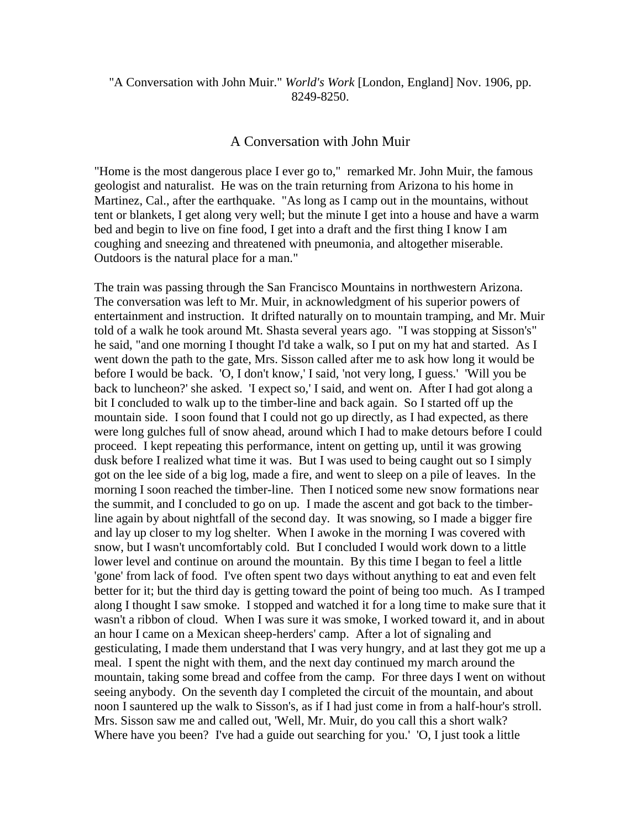## "A Conversation with John Muir." *World's Work* [London, England] Nov. 1906, pp. 8249-8250.

## A Conversation with John Muir

"Home is the most dangerous place I ever go to," remarked Mr. John Muir, the famous geologist and naturalist. He was on the train returning from Arizona to his home in Martinez, Cal., after the earthquake. "As long as I camp out in the mountains, without tent or blankets, I get along very well; but the minute I get into a house and have a warm bed and begin to live on fine food, I get into a draft and the first thing I know I am coughing and sneezing and threatened with pneumonia, and altogether miserable. Outdoors is the natural place for a man."

The train was passing through the San Francisco Mountains in northwestern Arizona. The conversation was left to Mr. Muir, in acknowledgment of his superior powers of entertainment and instruction. It drifted naturally on to mountain tramping, and Mr. Muir told of a walk he took around Mt. Shasta several years ago. "I was stopping at Sisson's" he said, "and one morning I thought I'd take a walk, so I put on my hat and started. As I went down the path to the gate, Mrs. Sisson called after me to ask how long it would be before I would be back. 'O, I don't know,' I said, 'not very long, I guess.' 'Will you be back to luncheon?' she asked. 'I expect so,' I said, and went on. After I had got along a bit I concluded to walk up to the timber-line and back again. So I started off up the mountain side. I soon found that I could not go up directly, as I had expected, as there were long gulches full of snow ahead, around which I had to make detours before I could proceed. I kept repeating this performance, intent on getting up, until it was growing dusk before I realized what time it was. But I was used to being caught out so I simply got on the lee side of a big log, made a fire, and went to sleep on a pile of leaves. In the morning I soon reached the timber-line. Then I noticed some new snow formations near the summit, and I concluded to go on up. I made the ascent and got back to the timberline again by about nightfall of the second day. It was snowing, so I made a bigger fire and lay up closer to my log shelter. When I awoke in the morning I was covered with snow, but I wasn't uncomfortably cold. But I concluded I would work down to a little lower level and continue on around the mountain. By this time I began to feel a little 'gone' from lack of food. I've often spent two days without anything to eat and even felt better for it; but the third day is getting toward the point of being too much. As I tramped along I thought I saw smoke. I stopped and watched it for a long time to make sure that it wasn't a ribbon of cloud. When I was sure it was smoke, I worked toward it, and in about an hour I came on a Mexican sheep-herders' camp. After a lot of signaling and gesticulating, I made them understand that I was very hungry, and at last they got me up a meal. I spent the night with them, and the next day continued my march around the mountain, taking some bread and coffee from the camp. For three days I went on without seeing anybody. On the seventh day I completed the circuit of the mountain, and about noon I sauntered up the walk to Sisson's, as if I had just come in from a half-hour's stroll. Mrs. Sisson saw me and called out, 'Well, Mr. Muir, do you call this a short walk? Where have you been? I've had a guide out searching for you.' 'O, I just took a little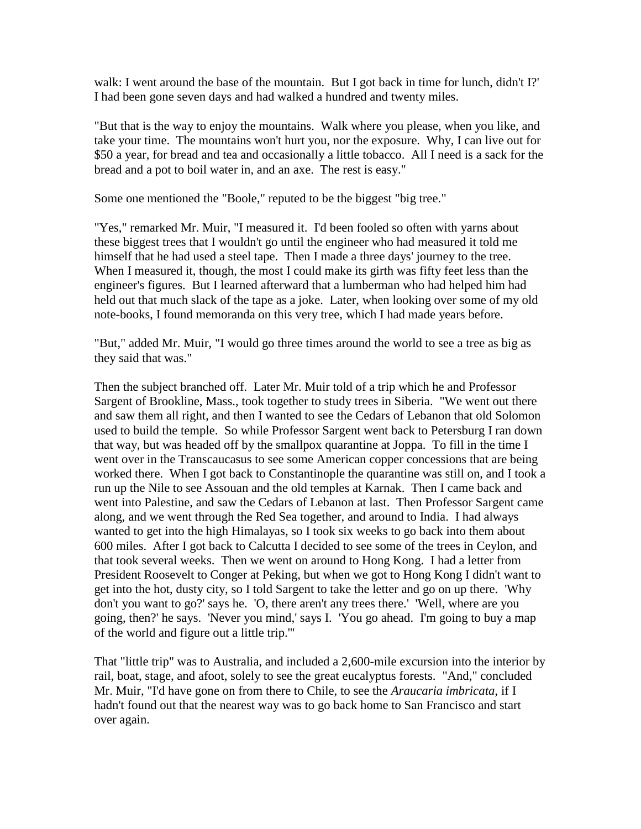walk: I went around the base of the mountain. But I got back in time for lunch, didn't I?' I had been gone seven days and had walked a hundred and twenty miles.

"But that is the way to enjoy the mountains. Walk where you please, when you like, and take your time. The mountains won't hurt you, nor the exposure. Why, I can live out for \$50 a year, for bread and tea and occasionally a little tobacco. All I need is a sack for the bread and a pot to boil water in, and an axe. The rest is easy."

Some one mentioned the "Boole," reputed to be the biggest "big tree."

"Yes," remarked Mr. Muir, "I measured it. I'd been fooled so often with yarns about these biggest trees that I wouldn't go until the engineer who had measured it told me himself that he had used a steel tape. Then I made a three days' journey to the tree. When I measured it, though, the most I could make its girth was fifty feet less than the engineer's figures. But I learned afterward that a lumberman who had helped him had held out that much slack of the tape as a joke. Later, when looking over some of my old note-books, I found memoranda on this very tree, which I had made years before.

"But," added Mr. Muir, "I would go three times around the world to see a tree as big as they said that was."

Then the subject branched off. Later Mr. Muir told of a trip which he and Professor Sargent of Brookline, Mass., took together to study trees in Siberia. "We went out there and saw them all right, and then I wanted to see the Cedars of Lebanon that old Solomon used to build the temple. So while Professor Sargent went back to Petersburg I ran down that way, but was headed off by the smallpox quarantine at Joppa. To fill in the time I went over in the Transcaucasus to see some American copper concessions that are being worked there. When I got back to Constantinople the quarantine was still on, and I took a run up the Nile to see Assouan and the old temples at Karnak. Then I came back and went into Palestine, and saw the Cedars of Lebanon at last. Then Professor Sargent came along, and we went through the Red Sea together, and around to India. I had always wanted to get into the high Himalayas, so I took six weeks to go back into them about 600 miles. After I got back to Calcutta I decided to see some of the trees in Ceylon, and that took several weeks. Then we went on around to Hong Kong. I had a letter from President Roosevelt to Conger at Peking, but when we got to Hong Kong I didn't want to get into the hot, dusty city, so I told Sargent to take the letter and go on up there. 'Why don't you want to go?' says he. 'O, there aren't any trees there.' 'Well, where are you going, then?' he says. 'Never you mind,' says I. 'You go ahead. I'm going to buy a map of the world and figure out a little trip.'"

That "little trip" was to Australia, and included a 2,600-mile excursion into the interior by rail, boat, stage, and afoot, solely to see the great eucalyptus forests. "And," concluded Mr. Muir, "I'd have gone on from there to Chile, to see the *Araucaria imbricata,* if I hadn't found out that the nearest way was to go back home to San Francisco and start over again.